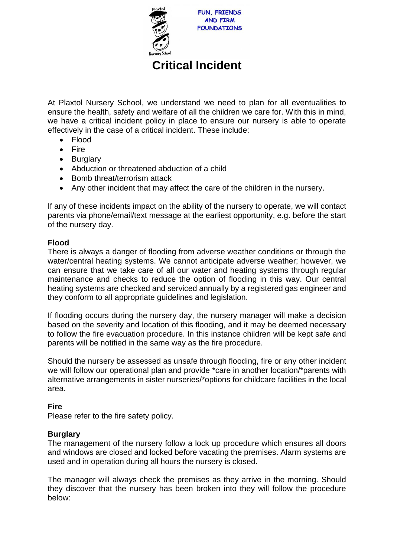

# **Critical Incident**

At Plaxtol Nursery School, we understand we need to plan for all eventualities to ensure the health, safety and welfare of all the children we care for. With this in mind, we have a critical incident policy in place to ensure our nursery is able to operate effectively in the case of a critical incident. These include:

- Flood
- Fire
- Burglary
- Abduction or threatened abduction of a child
- Bomb threat/terrorism attack
- Any other incident that may affect the care of the children in the nursery.

If any of these incidents impact on the ability of the nursery to operate, we will contact parents via phone/email/text message at the earliest opportunity, e.g. before the start of the nursery day.

### **Flood**

There is always a danger of flooding from adverse weather conditions or through the water/central heating systems. We cannot anticipate adverse weather; however, we can ensure that we take care of all our water and heating systems through regular maintenance and checks to reduce the option of flooding in this way. Our central heating systems are checked and serviced annually by a registered gas engineer and they conform to all appropriate guidelines and legislation.

If flooding occurs during the nursery day, the nursery manager will make a decision based on the severity and location of this flooding, and it may be deemed necessary to follow the fire evacuation procedure. In this instance children will be kept safe and parents will be notified in the same way as the fire procedure.

Should the nursery be assessed as unsafe through flooding, fire or any other incident we will follow our operational plan and provide \*care in another location/\*parents with alternative arrangements in sister nurseries/\*options for childcare facilities in the local area.

### **Fire**

Please refer to the fire safety policy.

### **Burglary**

The management of the nursery follow a lock up procedure which ensures all doors and windows are closed and locked before vacating the premises. Alarm systems are used and in operation during all hours the nursery is closed.

The manager will always check the premises as they arrive in the morning. Should they discover that the nursery has been broken into they will follow the procedure below: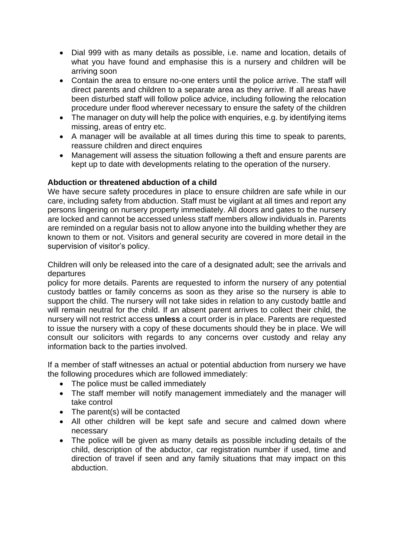- Dial 999 with as many details as possible, i.e. name and location, details of what you have found and emphasise this is a nursery and children will be arriving soon
- Contain the area to ensure no-one enters until the police arrive. The staff will direct parents and children to a separate area as they arrive. If all areas have been disturbed staff will follow police advice, including following the relocation procedure under flood wherever necessary to ensure the safety of the children
- The manager on duty will help the police with enquiries, e.g. by identifying items missing, areas of entry etc.
- A manager will be available at all times during this time to speak to parents, reassure children and direct enquires
- Management will assess the situation following a theft and ensure parents are kept up to date with developments relating to the operation of the nursery.

## **Abduction or threatened abduction of a child**

We have secure safety procedures in place to ensure children are safe while in our care, including safety from abduction. Staff must be vigilant at all times and report any persons lingering on nursery property immediately. All doors and gates to the nursery are locked and cannot be accessed unless staff members allow individuals in. Parents are reminded on a regular basis not to allow anyone into the building whether they are known to them or not. Visitors and general security are covered in more detail in the supervision of visitor's policy.

Children will only be released into the care of a designated adult; see the arrivals and departures

policy for more details. Parents are requested to inform the nursery of any potential custody battles or family concerns as soon as they arise so the nursery is able to support the child. The nursery will not take sides in relation to any custody battle and will remain neutral for the child. If an absent parent arrives to collect their child, the nursery will not restrict access **unless** a court order is in place. Parents are requested to issue the nursery with a copy of these documents should they be in place. We will consult our solicitors with regards to any concerns over custody and relay any information back to the parties involved.

If a member of staff witnesses an actual or potential abduction from nursery we have the following procedures which are followed immediately:

- The police must be called immediately
- The staff member will notify management immediately and the manager will take control
- The parent(s) will be contacted
- All other children will be kept safe and secure and calmed down where necessary
- The police will be given as many details as possible including details of the child, description of the abductor, car registration number if used, time and direction of travel if seen and any family situations that may impact on this abduction.